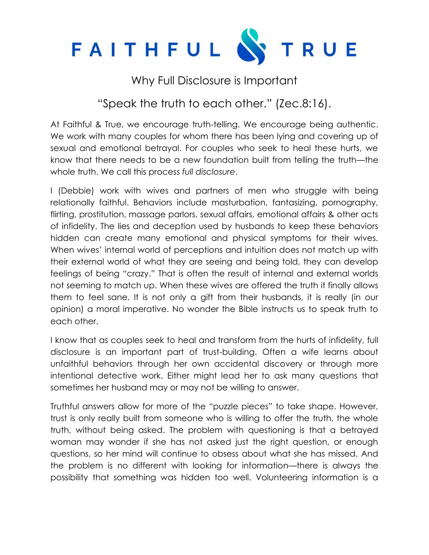

## Why Full Disclosure is Important

## "Speak the truth to each other." (Zec.8:16).

At Faithful & True, we encourage truth-telling. We encourage being authentic. We work with many couples for whom there has been lying and covering up of sexual and emotional betrayal. For couples who seek to heal these hurts, we know that there needs to be a new foundation built from telling the truth—the whole truth. We call this process *full disclosure*.

I (Debbie) work with wives and partners of men who struggle with being relationally faithful. Behaviors include masturbation, fantasizing, pornography, flirting, prostitution, massage parlors, sexual affairs, emotional affairs & other acts of infidelity. The lies and deception used by husbands to keep these behaviors hidden can create many emotional and physical symptoms for their wives. When wives' internal world of perceptions and intuition does not match up with their external world of what they are seeing and being told, they can develop feelings of being "crazy." That is often the result of internal and external worlds not seeming to match up. When these wives are offered the truth it finally allows them to feel sane. It is not only a gift from their husbands, it is really (in our opinion) a moral imperative. No wonder the Bible instructs us to speak truth to each other.

I know that as couples seek to heal and transform from the hurts of infidelity, full disclosure is an important part of trust-building. Often a wife learns about unfaithful behaviors through her own accidental discovery or through more intentional detective work. Either might lead her to ask many questions that sometimes her husband may or may not be willing to answer.

Truthful answers allow for more of the "puzzle pieces" to take shape. However, trust is only really built from someone who is willing to offer the truth, the whole truth, without being asked. The problem with questioning is that a betrayed woman may wonder if she has not asked just the right question, or enough questions, so her mind will continue to obsess about what she has missed. And the problem is no different with looking for information—there is always the possibility that something was hidden too well. Volunteering information is a